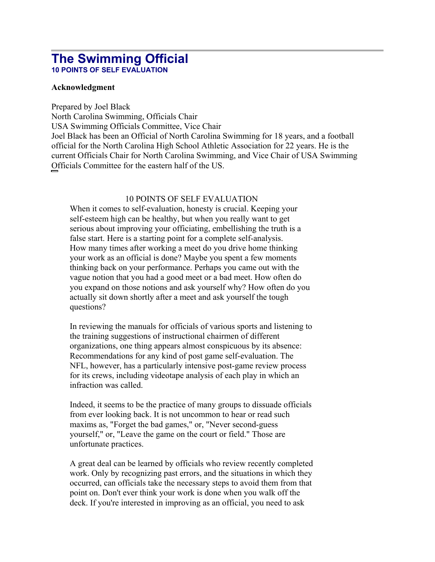# **The Swimming Official 10 POINTS OF SELF EVALUATION**

### **Acknowledgment**

Prepared by Joel Black North Carolina Swimming, Officials Chair USA Swimming Officials Committee, Vice Chair Joel Black has been an Official of North Carolina Swimming for 18 years, and a football official for the North Carolina High School Athletic Association for 22 years. He is the current Officials Chair for North Carolina Swimming, and Vice Chair of USA Swimming Officials Committee for the eastern half of the US.

## 10 POINTS OF SELF EVALUATION

When it comes to self-evaluation, honesty is crucial. Keeping your self-esteem high can be healthy, but when you really want to get serious about improving your officiating, embellishing the truth is a false start. Here is a starting point for a complete self-analysis. How many times after working a meet do you drive home thinking your work as an official is done? Maybe you spent a few moments thinking back on your performance. Perhaps you came out with the vague notion that you had a good meet or a bad meet. How often do you expand on those notions and ask yourself why? How often do you actually sit down shortly after a meet and ask yourself the tough questions?

In reviewing the manuals for officials of various sports and listening to the training suggestions of instructional chairmen of different organizations, one thing appears almost conspicuous by its absence: Recommendations for any kind of post game self-evaluation. The NFL, however, has a particularly intensive post-game review process for its crews, including videotape analysis of each play in which an infraction was called.

Indeed, it seems to be the practice of many groups to dissuade officials from ever looking back. It is not uncommon to hear or read such maxims as, "Forget the bad games," or, "Never second-guess yourself," or, "Leave the game on the court or field." Those are unfortunate practices.

A great deal can be learned by officials who review recently completed work. Only by recognizing past errors, and the situations in which they occurred, can officials take the necessary steps to avoid them from that point on. Don't ever think your work is done when you walk off the deck. If you're interested in improving as an official, you need to ask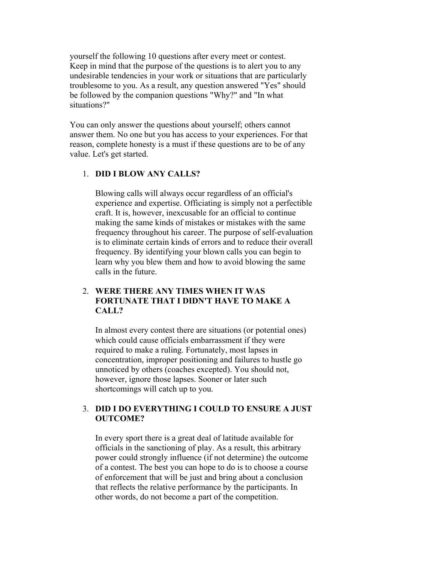yourself the following 10 questions after every meet or contest. Keep in mind that the purpose of the questions is to alert you to any undesirable tendencies in your work or situations that are particularly troublesome to you. As a result, any question answered "Yes" should be followed by the companion questions "Why?" and "In what situations?"

You can only answer the questions about yourself; others cannot answer them. No one but you has access to your experiences. For that reason, complete honesty is a must if these questions are to be of any value. Let's get started.

## 1. **DID I BLOW ANY CALLS?**

Blowing calls will always occur regardless of an official's experience and expertise. Officiating is simply not a perfectible craft. It is, however, inexcusable for an official to continue making the same kinds of mistakes or mistakes with the same frequency throughout his career. The purpose of self-evaluation is to eliminate certain kinds of errors and to reduce their overall frequency. By identifying your blown calls you can begin to learn why you blew them and how to avoid blowing the same calls in the future.

## 2. **WERE THERE ANY TIMES WHEN IT WAS FORTUNATE THAT I DIDN'T HAVE TO MAKE A CALL?**

In almost every contest there are situations (or potential ones) which could cause officials embarrassment if they were required to make a ruling. Fortunately, most lapses in concentration, improper positioning and failures to hustle go unnoticed by others (coaches excepted). You should not, however, ignore those lapses. Sooner or later such shortcomings will catch up to you.

### 3. **DID I DO EVERYTHING I COULD TO ENSURE A JUST OUTCOME?**

In every sport there is a great deal of latitude available for officials in the sanctioning of play. As a result, this arbitrary power could strongly influence (if not determine) the outcome of a contest. The best you can hope to do is to choose a course of enforcement that will be just and bring about a conclusion that reflects the relative performance by the participants. In other words, do not become a part of the competition.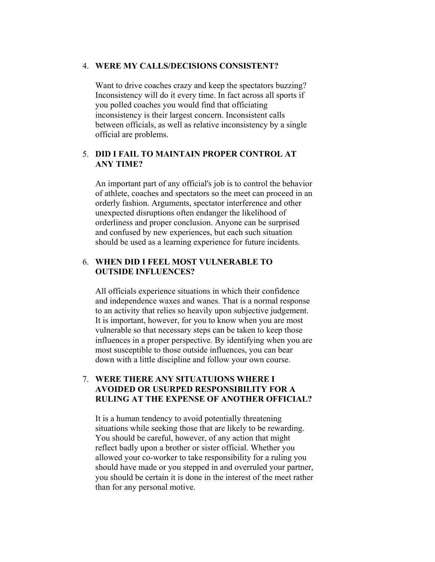#### 4. **WERE MY CALLS/DECISIONS CONSISTENT?**

Want to drive coaches crazy and keep the spectators buzzing? Inconsistency will do it every time. In fact across all sports if you polled coaches you would find that officiating inconsistency is their largest concern. Inconsistent calls between officials, as well as relative inconsistency by a single official are problems.

#### 5. **DID I FAIL TO MAINTAIN PROPER CONTROL AT ANY TIME?**

An important part of any official's job is to control the behavior of athlete, coaches and spectators so the meet can proceed in an orderly fashion. Arguments, spectator interference and other unexpected disruptions often endanger the likelihood of orderliness and proper conclusion. Anyone can be surprised and confused by new experiences, but each such situation should be used as a learning experience for future incidents.

## 6. **WHEN DID I FEEL MOST VULNERABLE TO OUTSIDE INFLUENCES?**

All officials experience situations in which their confidence and independence waxes and wanes. That is a normal response to an activity that relies so heavily upon subjective judgement. It is important, however, for you to know when you are most vulnerable so that necessary steps can be taken to keep those influences in a proper perspective. By identifying when you are most susceptible to those outside influences, you can bear down with a little discipline and follow your own course.

## 7. **WERE THERE ANY SITUATUIONS WHERE I AVOIDED OR USURPED RESPONSIBILITY FOR A RULING AT THE EXPENSE OF ANOTHER OFFICIAL?**

It is a human tendency to avoid potentially threatening situations while seeking those that are likely to be rewarding. You should be careful, however, of any action that might reflect badly upon a brother or sister official. Whether you allowed your co-worker to take responsibility for a ruling you should have made or you stepped in and overruled your partner, you should be certain it is done in the interest of the meet rather than for any personal motive.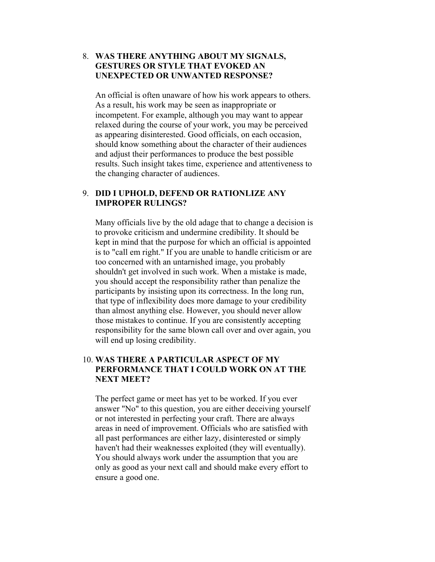## 8. **WAS THERE ANYTHING ABOUT MY SIGNALS, GESTURES OR STYLE THAT EVOKED AN UNEXPECTED OR UNWANTED RESPONSE?**

An official is often unaware of how his work appears to others. As a result, his work may be seen as inappropriate or incompetent. For example, although you may want to appear relaxed during the course of your work, you may be perceived as appearing disinterested. Good officials, on each occasion, should know something about the character of their audiences and adjust their performances to produce the best possible results. Such insight takes time, experience and attentiveness to the changing character of audiences.

### 9. **DID I UPHOLD, DEFEND OR RATIONLIZE ANY IMPROPER RULINGS?**

Many officials live by the old adage that to change a decision is to provoke criticism and undermine credibility. It should be kept in mind that the purpose for which an official is appointed is to "call em right." If you are unable to handle criticism or are too concerned with an untarnished image, you probably shouldn't get involved in such work. When a mistake is made, you should accept the responsibility rather than penalize the participants by insisting upon its correctness. In the long run, that type of inflexibility does more damage to your credibility than almost anything else. However, you should never allow those mistakes to continue. If you are consistently accepting responsibility for the same blown call over and over again, you will end up losing credibility.

## 10. **WAS THERE A PARTICULAR ASPECT OF MY PERFORMANCE THAT I COULD WORK ON AT THE NEXT MEET?**

The perfect game or meet has yet to be worked. If you ever answer "No" to this question, you are either deceiving yourself or not interested in perfecting your craft. There are always areas in need of improvement. Officials who are satisfied with all past performances are either lazy, disinterested or simply haven't had their weaknesses exploited (they will eventually). You should always work under the assumption that you are only as good as your next call and should make every effort to ensure a good one.